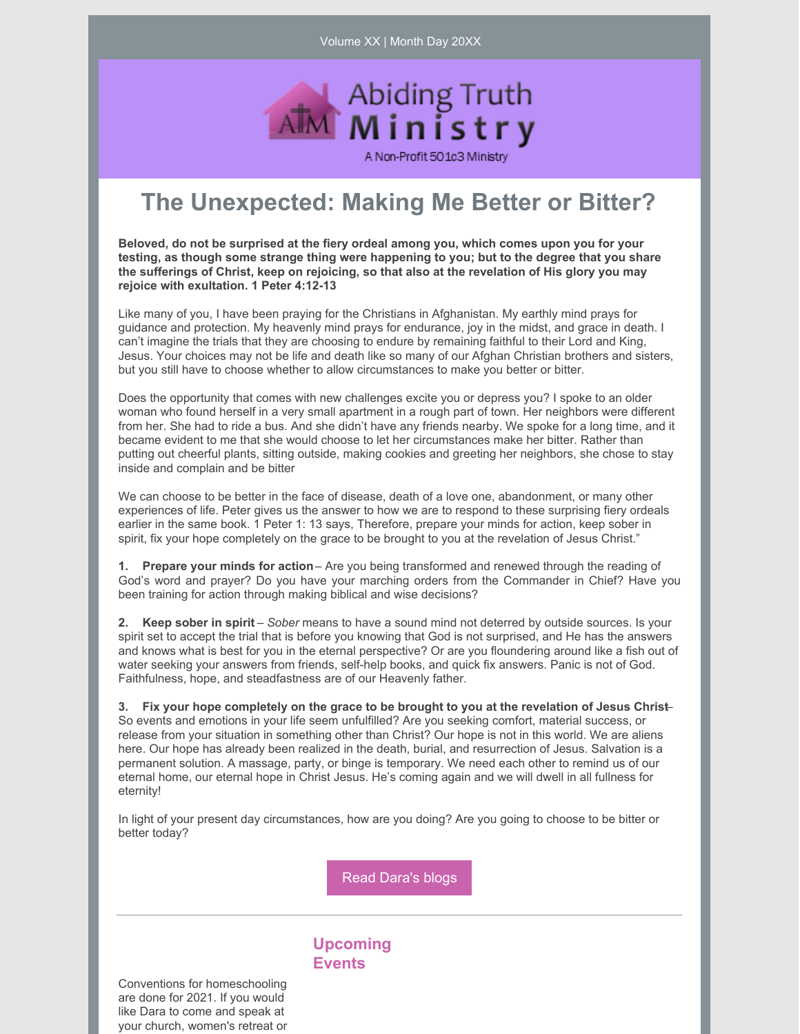Volume XX | Month Day 20XX



## **The Unexpected: Making Me Better or Bitter?**

**Beloved, do not be surprised at the fiery ordeal among you, which comes upon you for your testing, as though some strange thing were happening to you; but to the degree that you share the sufferings of Christ, keep on rejoicing, so that also at the revelation of His glory you may rejoice with exultation. 1 Peter 4:12-13**

Like many of you, I have been praying for the Christians in Afghanistan. My earthly mind prays for guidance and protection. My heavenly mind prays for endurance, joy in the midst, and grace in death. I can't imagine the trials that they are choosing to endure by remaining faithful to their Lord and King, Jesus. Your choices may not be life and death like so many of our Afghan Christian brothers and sisters, but you still have to choose whether to allow circumstances to make you better or bitter.

Does the opportunity that comes with new challenges excite you or depress you? I spoke to an older woman who found herself in a very small apartment in a rough part of town. Her neighbors were different from her. She had to ride a bus. And she didn't have any friends nearby. We spoke for a long time, and it became evident to me that she would choose to let her circumstances make her bitter. Rather than putting out cheerful plants, sitting outside, making cookies and greeting her neighbors, she chose to stay inside and complain and be bitter

We can choose to be better in the face of disease, death of a love one, abandonment, or many other experiences of life. Peter gives us the answer to how we are to respond to these surprising fiery ordeals earlier in the same book. 1 Peter 1: 13 says, Therefore, prepare your minds for action, keep sober in spirit, fix your hope completely on the grace to be brought to you at the revelation of Jesus Christ."

**1. Prepare your minds for action**– Are you being transformed and renewed through the reading of God's word and prayer? Do you have your marching orders from the Commander in Chief? Have you been training for action through making biblical and wise decisions?

**2. Keep sober in spirit** – *Sober* means to have a sound mind not deterred by outside sources. Is your spirit set to accept the trial that is before you knowing that God is not surprised, and He has the answers and knows what is best for you in the eternal perspective? Or are you floundering around like a fish out of water seeking your answers from friends, self-help books, and quick fix answers. Panic is not of God. Faithfulness, hope, and steadfastness are of our Heavenly father.

3. Fix your hope completely on the grace to be brought to you at the revelation of Jesus Christ-So events and emotions in your life seem unfulfilled? Are you seeking comfort, material success, or release from your situation in something other than Christ? Our hope is not in this world. We are aliens here. Our hope has already been realized in the death, burial, and resurrection of Jesus. Salvation is a permanent solution. A massage, party, or binge is temporary. We need each other to remind us of our eternal home, our eternal hope in Christ Jesus. He's coming again and we will dwell in all fullness for eternity!

In light of your present day circumstances, how are you doing? Are you going to choose to be bitter or better today?

Read [Dara's](https://www.abidingtruthministry.com/blog/) blogs

## **Upcoming Events**

Conventions for homeschooling are done for 2021. If you would like Dara to come and speak at your church, women's retreat or